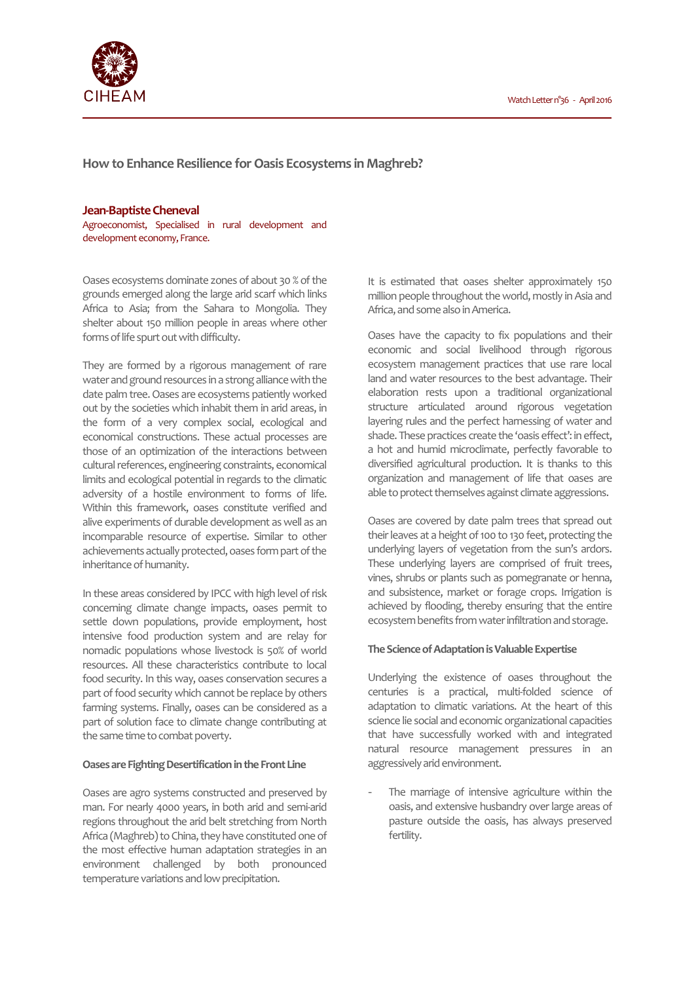

**How to Enhance Resilience for Oasis Ecosystems in Maghreb?** 

## **Jean-Baptiste Cheneval**

Agroeconomist, Specialised in rural development and development economy, France.

Oases ecosystems dominate zones of about 30 % of the grounds emerged along the large arid scarf which links Africa to Asia; from the Sahara to Mongolia. They shelter about 150 million people in areas where other forms of life spurt out with difficulty.

They are formed by a rigorous management of rare water and ground resources in a strong alliance with the date palm tree. Oases are ecosystems patiently worked out by the societies which inhabit them in arid areas, in the form of a very complex social, ecological and economical constructions. These actual processes are those of an optimization of the interactions between cultural references, engineering constraints, economical limits and ecological potential in regards to the climatic adversity of a hostile environment to forms of life. Within this framework, oases constitute verified and alive experiments of durable development as well as an incomparable resource of expertise. Similar to other achievements actually protected, oases form part of the inheritance of humanity.

In these areas considered by IPCC with high level of risk concerning climate change impacts, oases permit to settle down populations, provide employment, host intensive food production system and are relay for nomadic populations whose livestock is 50% of world resources. All these characteristics contribute to local food security. In this way, oases conservation secures a part of food security which cannot be replace by others farming systems. Finally, oases can be considered as a part of solution face to climate change contributing at the same time to combat poverty.

# **Oases are Fighting Desertification in the Front Line**

Oases are agro systems constructed and preserved by man. For nearly 4000 years, in both arid and semi-arid regions throughout the arid belt stretching from North Africa (Maghreb) to China, they have constituted one of the most effective human adaptation strategies in an environment challenged by both pronounced temperature variations and low precipitation.

It is estimated that oases shelter approximately 150 million people throughout the world, mostly in Asia and Africa, and some also in America.

Oases have the capacity to fix populations and their economic and social livelihood through rigorous ecosystem management practices that use rare local land and water resources to the best advantage. Their elaboration rests upon a traditional organizational structure articulated around rigorous vegetation layering rules and the perfect harnessing of water and shade. These practices create the 'oasis effect': in effect, a hot and humid microclimate, perfectly favorable to diversified agricultural production. It is thanks to this organization and management of life that oases are able to protect themselves against climate aggressions.

Oases are covered by date palm trees that spread out their leaves at a height of 100 to 130 feet, protecting the underlying layers of vegetation from the sun's ardors. These underlying layers are comprised of fruit trees, vines, shrubs or plants such as pomegranate or henna, and subsistence, market or forage crops. Irrigation is achieved by flooding, thereby ensuring that the entire ecosystem benefits from water infiltration and storage.

### **The Science of Adaptation is Valuable Expertise**

Underlying the existence of oases throughout the centuries is a practical, multi-folded science of adaptation to climatic variations. At the heart of this science lie social and economic organizational capacities that have successfully worked with and integrated natural resource management pressures in an aggressively arid environment.

The marriage of intensive agriculture within the oasis, and extensive husbandry over large areas of pasture outside the oasis, has always preserved fertility.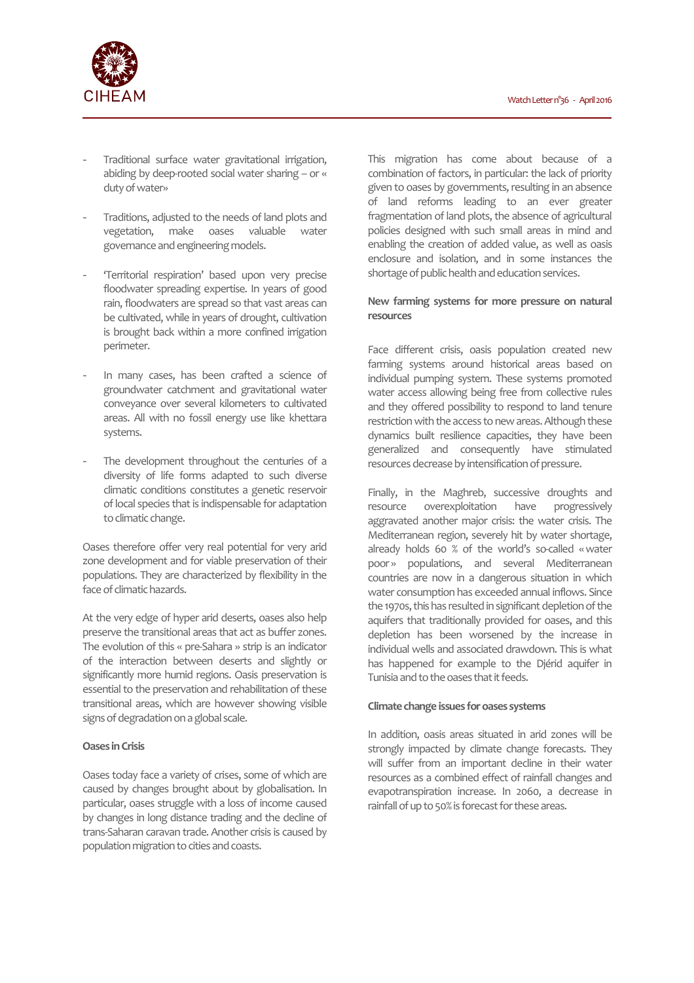

- Traditional surface water gravitational irrigation, abiding by deep-rooted social water sharing – or « duty of water»
- Traditions, adjusted to the needs of land plots and vegetation, make oases valuable water governance and engineering models.
- 'Territorial respiration' based upon very precise floodwater spreading expertise. In years of good rain, floodwaters are spread so that vast areas can be cultivated, while in years of drought, cultivation is brought back within a more confined irrigation perimeter.
- In many cases, has been crafted a science of groundwater catchment and gravitational water conveyance over several kilometers to cultivated areas. All with no fossil energy use like khettara systems.
- The development throughout the centuries of a diversity of life forms adapted to such diverse climatic conditions constitutes a genetic reservoir of local species that is indispensable for adaptation to climatic change.

Oases therefore offer very real potential for very arid zone development and for viable preservation of their populations. They are characterized by flexibility in the face of climatic hazards.

At the very edge of hyper arid deserts, oases also help preserve the transitional areas that act as buffer zones. The evolution of this « pre-Sahara » strip is an indicator of the interaction between deserts and slightly or significantly more humid regions. Oasis preservation is essential to the preservation and rehabilitation of these transitional areas, which are however showing visible signs of degradation on a global scale.

## **Oases in Crisis**

Oases today face a variety of crises, some of which are caused by changes brought about by globalisation. In particular, oases struggle with a loss of income caused by changes in long distance trading and the decline of trans-Saharan caravan trade. Another crisis is caused by population migration to cities and coasts.

This migration has come about because of a combination of factors, in particular: the lack of priority given to oases by governments, resulting in an absence of land reforms leading to an ever greater fragmentation of land plots, the absence of agricultural policies designed with such small areas in mind and enabling the creation of added value, as well as oasis enclosure and isolation, and in some instances the shortage of public health and education services.

# **New farming systems for more pressure on natural resources**

Face different crisis, oasis population created new farming systems around historical areas based on individual pumping system. These systems promoted water access allowing being free from collective rules and they offered possibility to respond to land tenure restriction with the access to new areas. Although these dynamics built resilience capacities, they have been generalized and consequently have stimulated resources decrease by intensification of pressure.

Finally, in the Maghreb, successive droughts and resource overexploitation have progressively aggravated another major crisis: the water crisis. The Mediterranean region, severely hit by water shortage, already holds 60 % of the world's so-called « water poor » populations, and several Mediterranean countries are now in a dangerous situation in which water consumption has exceeded annual inflows. Since the 1970s, this has resulted in significant depletion of the aquifers that traditionally provided for oases, and this depletion has been worsened by the increase in individual wells and associated drawdown. This is what has happened for example to the Djérid aquifer in Tunisia and to the oases that it feeds.

### **Climate change issues for oases systems**

In addition, oasis areas situated in arid zones will be strongly impacted by climate change forecasts. They will suffer from an important decline in their water resources as a combined effect of rainfall changes and evapotranspiration increase. In 2060, a decrease in rainfall of up to 50% is forecast for these areas.